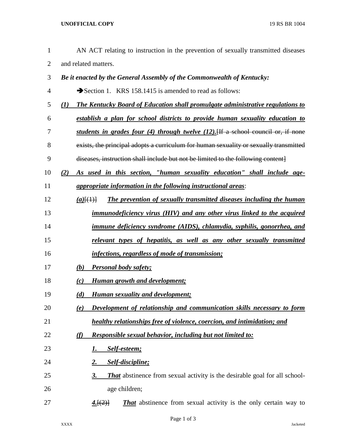## **UNOFFICIAL COPY** 19 RS BR 1004

| $\mathbf{1}$   | AN ACT relating to instruction in the prevention of sexually transmitted diseases               |
|----------------|-------------------------------------------------------------------------------------------------|
| $\overline{2}$ | and related matters.                                                                            |
| 3              | Be it enacted by the General Assembly of the Commonwealth of Kentucky:                          |
| 4              | Section 1. KRS 158.1415 is amended to read as follows:                                          |
| 5              | <b>The Kentucky Board of Education shall promulgate administrative regulations to</b><br>(I)    |
| 6              | establish a plan for school districts to provide human sexuality education to                   |
| 7              | students in grades four (4) through twelve (12). [If a school council or, if none               |
| 8              | exists, the principal adopts a curriculum for human sexuality or sexually transmitted           |
| 9              | diseases, instruction shall include but not be limited to the following content]                |
| 10             | As used in this section, "human sexuality education" shall include age-<br>(2)                  |
| 11             | <i>appropriate information in the following instructional areas:</i>                            |
| 12             | The prevention of sexually transmitted diseases including the human<br>$(a)$ $\{(\downarrow)\}$ |
| 13             | immunodeficiency virus (HIV) and any other virus linked to the acquired                         |
| 14             | immune deficiency syndrome (AIDS), chlamydia, syphilis, gonorrhea, and                          |
| 15             | relevant types of hepatitis, as well as any other sexually transmitted                          |
| 16             | infections, regardless of mode of transmission;                                                 |
| 17             | <b>Personal body safety;</b><br>(b)                                                             |
| 18             | <b>Human growth and development;</b><br>(c)                                                     |
| 19             | <b>Human sexuality and development;</b><br>(d)                                                  |
| 20             | Development of relationship and communication skills necessary to form<br>(e)                   |
| 21             | healthy relationships free of violence, coercion, and intimidation; and                         |
| 22             | <b>Responsible sexual behavior, including but not limited to:</b><br>(f)                        |
| 23             | Self-esteem;<br>1.                                                                              |
| 24             | Self-discipline;<br><u>2.</u>                                                                   |
| 25             | <b>That</b> abstinence from sexual activity is the desirable goal for all school-<br>3.         |
| 26             | age children;                                                                                   |
| 27             | <b>That</b> abstinence from sexual activity is the only certain way to<br>4.[(2)]               |
|                |                                                                                                 |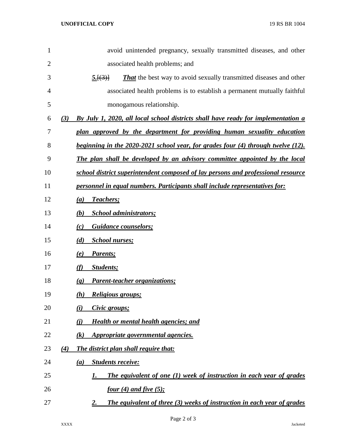| 1  |     | avoid unintended pregnancy, sexually transmitted diseases, and other                 |
|----|-----|--------------------------------------------------------------------------------------|
| 2  |     | associated health problems; and                                                      |
| 3  |     | <b>That</b> the best way to avoid sexually transmitted diseases and other<br>5.[(3)] |
| 4  |     | associated health problems is to establish a permanent mutually faithful             |
| 5  |     | monogamous relationship.                                                             |
| 6  | (3) | By July 1, 2020, all local school districts shall have ready for implementation a    |
| 7  |     | plan approved by the department for providing human sexuality education              |
| 8  |     | beginning in the 2020-2021 school year, for grades four (4) through twelve (12).     |
| 9  |     | The plan shall be developed by an advisory committee appointed by the local          |
| 10 |     | school district superintendent composed of lay persons and professional resource     |
| 11 |     | personnel in equal numbers. Participants shall include representatives for:          |
| 12 |     | Teachers;<br>$\left(a\right)$                                                        |
| 13 |     | <b>School administrators;</b><br>(b)                                                 |
| 14 |     | <b>Guidance counselors;</b><br>(c)                                                   |
| 15 |     | <b>School nurses;</b><br>(d)                                                         |
| 16 |     | Parents;<br>(e)                                                                      |
| 17 |     | <b>Students</b> ;<br>(f)                                                             |
| 18 |     | <b>Parent-teacher organizations;</b><br>$\left( \mathbf{g} \right)$                  |
| 19 |     | Religious groups;<br>(h)                                                             |
| 20 |     | (i)<br>Civic groups;                                                                 |
| 21 |     | Health or mental health agencies; and<br>(i)                                         |
| 22 |     | Appropriate governmental agencies.<br>$\left( k\right)$                              |
| 23 | (4) | The district plan shall require that:                                                |
| 24 |     | <b>Students receive:</b><br>(a)                                                      |
| 25 |     | The equivalent of one (1) week of instruction in each year of grades<br>1.           |
| 26 |     | <u>four (4) and five (5);</u>                                                        |
| 27 |     | The equivalent of three (3) weeks of instruction in each year of grades<br><u>2.</u> |